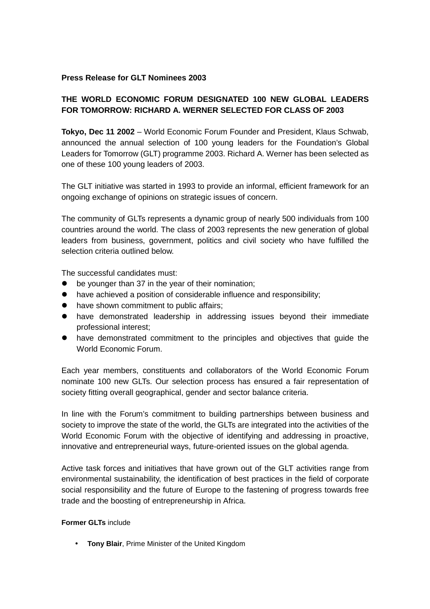## **Press Release for GLT Nominees 2003**

## **THE WORLD ECONOMIC FORUM DESIGNATED 100 NEW GLOBAL LEADERS FOR TOMORROW: RICHARD A. WERNER SELECTED FOR CLASS OF 2003**

**Tokyo, Dec 11 2002** – World Economic Forum Founder and President, Klaus Schwab, announced the annual selection of 100 young leaders for the Foundation's Global Leaders for Tomorrow (GLT) programme 2003. Richard A. Werner has been selected as one of these 100 young leaders of 2003.

The GLT initiative was started in 1993 to provide an informal, efficient framework for an ongoing exchange of opinions on strategic issues of concern.

The community of GLTs represents a dynamic group of nearly 500 individuals from 100 countries around the world. The class of 2003 represents the new generation of global leaders from business, government, politics and civil society who have fulfilled the selection criteria outlined below.

The successful candidates must:

- $\bullet$  be vounger than 37 in the year of their nomination:
- $\bullet$  have achieved a position of considerable influence and responsibility;
- $\bullet$  have shown commitment to public affairs:
- $\bullet$  have demonstrated leadership in addressing issues beyond their immediate professional interest;
- have demonstrated commitment to the principles and objectives that quide the World Economic Forum.

Each year members, constituents and collaborators of the World Economic Forum nominate 100 new GLTs. Our selection process has ensured a fair representation of society fitting overall geographical, gender and sector balance criteria.

In line with the Forum's commitment to building partnerships between business and society to improve the state of the world, the GLTs are integrated into the activities of the World Economic Forum with the objective of identifying and addressing in proactive, innovative and entrepreneurial ways, future-oriented issues on the global agenda.

Active task forces and initiatives that have grown out of the GLT activities range from environmental sustainability, the identification of best practices in the field of corporate social responsibility and the future of Europe to the fastening of progress towards free trade and the boosting of entrepreneurship in Africa.

## **Former GLTs** include

• **Tony Blair**, Prime Minister of the United Kingdom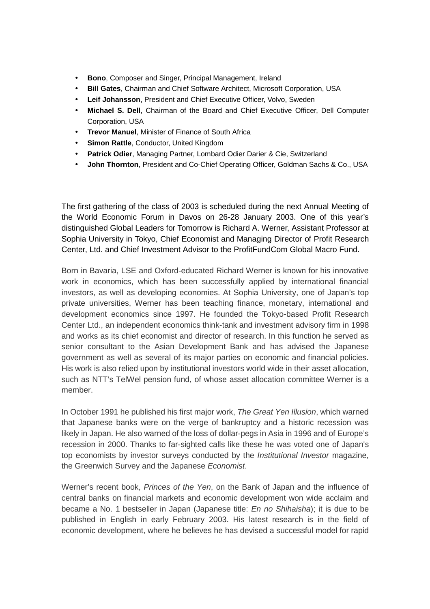- **Bono**, Composer and Singer, Principal Management, Ireland
- **Bill Gates**, Chairman and Chief Software Architect, Microsoft Corporation, USA
- **Leif Johansson**, President and Chief Executive Officer, Volvo, Sweden
- **Michael S. Dell**, Chairman of the Board and Chief Executive Officer, Dell Computer Corporation, USA
- **Trevor Manuel**, Minister of Finance of South Africa
- **Simon Rattle, Conductor, United Kingdom**
- **Patrick Odier**, Managing Partner, Lombard Odier Darier & Cie, Switzerland
- **John Thornton**, President and Co-Chief Operating Officer, Goldman Sachs & Co., USA

The first gathering of the class of 2003 is scheduled during the next Annual Meeting of the World Economic Forum in Davos on 26-28 January 2003. One of this year's distinguished Global Leaders for Tomorrow is Richard A. Werner, Assistant Professor at Sophia University in Tokyo, Chief Economist and Managing Director of Profit Research Center, Ltd. and Chief Investment Advisor to the ProfitFundCom Global Macro Fund.

Born in Bavaria, LSE and Oxford-educated Richard Werner is known for his innovative work in economics, which has been successfully applied by international financial investors, as well as developing economies. At Sophia University, one of Japan's top private universities, Werner has been teaching finance, monetary, international and development economics since 1997. He founded the Tokyo-based Profit Research Center Ltd., an independent economics think-tank and investment advisory firm in 1998 and works as its chief economist and director of research. In this function he served as senior consultant to the Asian Development Bank and has advised the Japanese government as well as several of its major parties on economic and financial policies. His work is also relied upon by institutional investors world wide in their asset allocation, such as NTT's TelWel pension fund, of whose asset allocation committee Werner is a member.

In October 1991 he published his first major work, *The Great Yen Illusion*, which warned that Japanese banks were on the verge of bankruptcy and a historic recession was likely in Japan. He also warned of the loss of dollar-pegs in Asia in 1996 and of Europe's recession in 2000. Thanks to far-sighted calls like these he was voted one of Japan's top economists by investor surveys conducted by the *Institutional Investor* magazine, the Greenwich Survey and the Japanese *Economist*.

Werner's recent book, *Princes of the Yen*, on the Bank of Japan and the influence of central banks on financial markets and economic development won wide acclaim and became a No. 1 bestseller in Japan (Japanese title: *En no Shihaisha*); it is due to be published in English in early February 2003. His latest research is in the field of economic development, where he believes he has devised a successful model for rapid